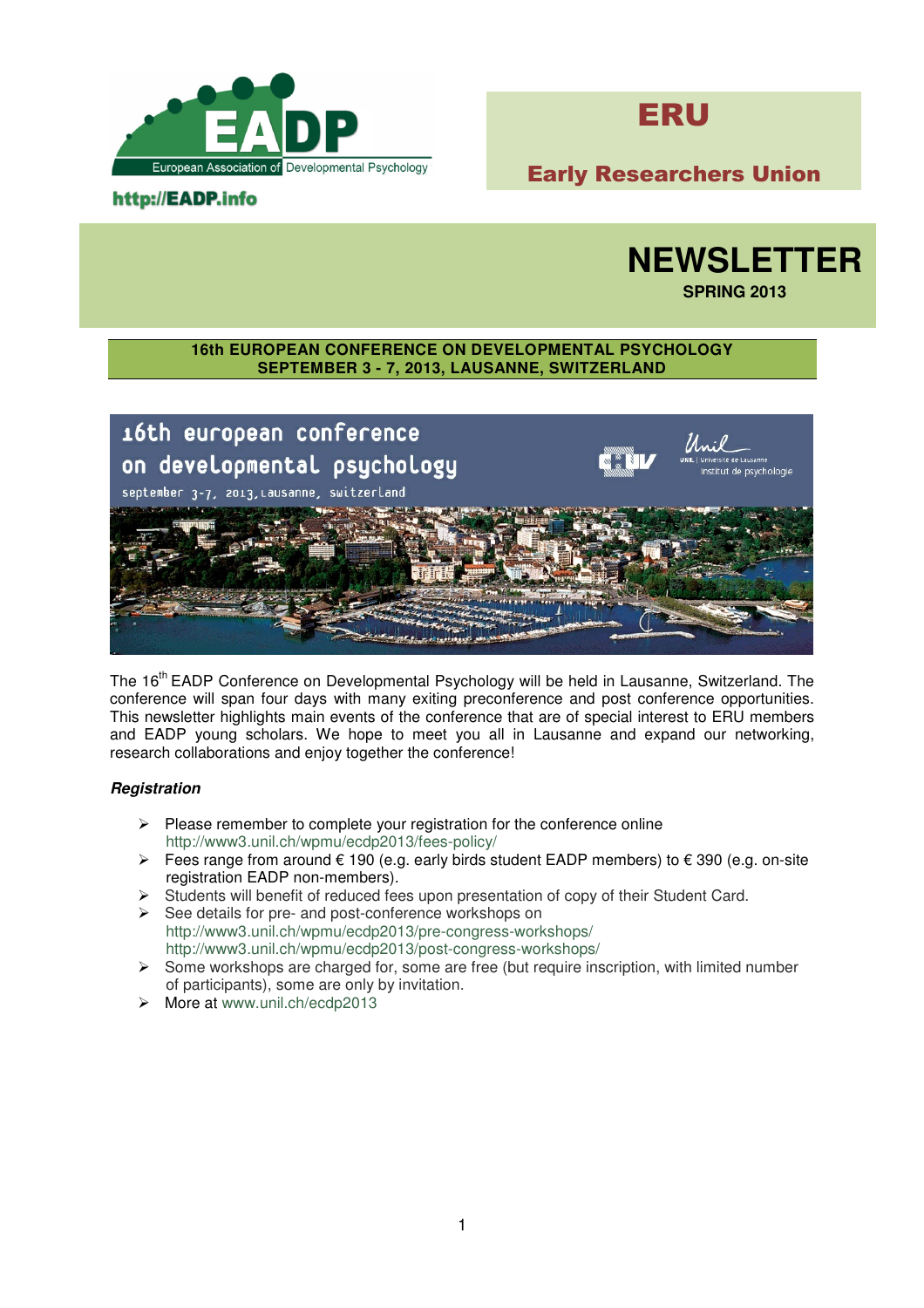



# Early Researchers Union

## http://EADP.info



**SPRING 2013** 

### **16th EUROPEAN CONFERENCE ON DEVELOPMENTAL PSYCHOLOGY SEPTEMBER 3 - 7, 2013, LAUSANNE, SWITZERLAND**



The 16<sup>th</sup> EADP Conference on Developmental Psychology will be held in Lausanne, Switzerland. The conference will span four days with many exiting preconference and post conference opportunities. This newsletter highlights main events of the conference that are of special interest to ERU members and EADP young scholars. We hope to meet you all in Lausanne and expand our networking, research collaborations and enjoy together the conference!

#### **Registration**

- $\triangleright$  Please remember to complete your registration for the conference online http://www3.unil.ch/wpmu/ecdp2013/fees-policy/
- Fees range from around € 190 (e.g. early birds student EADP members) to € 390 (e.g. on-site registration EADP non-members).
- $\triangleright$  Students will benefit of reduced fees upon presentation of copy of their Student Card.
- $\triangleright$  See details for pre- and post-conference workshops on http://www3.unil.ch/wpmu/ecdp2013/pre-congress-workshops/ http://www3.unil.ch/wpmu/ecdp2013/post-congress-workshops/
- $\triangleright$  Some workshops are charged for, some are free (but require inscription, with limited number of participants), some are only by invitation.
- > More at www.unil.ch/ecdp2013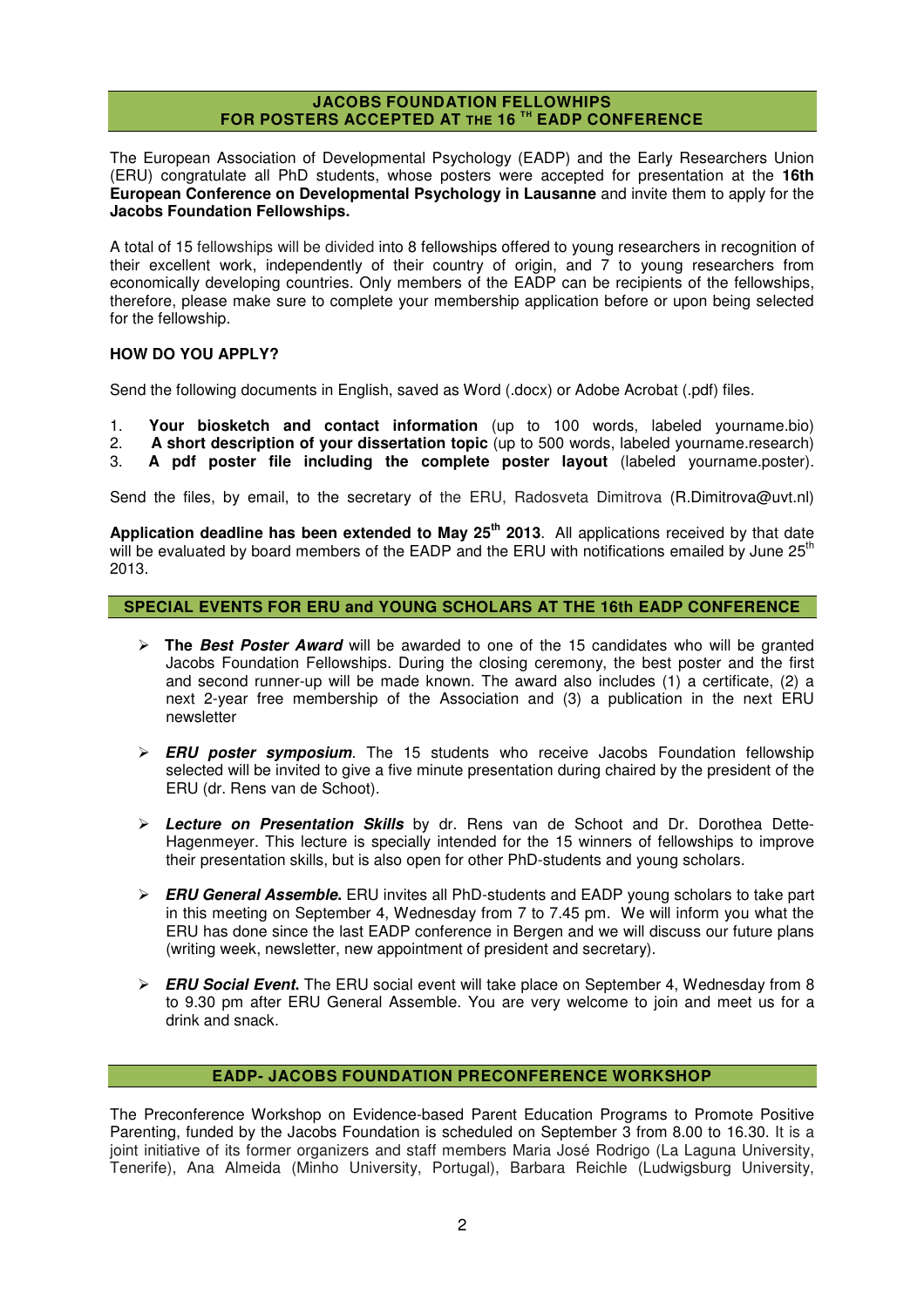### **JACOBS FOUNDATION FELLOWHIPS FOR POSTERS ACCEPTED AT THE 16 TH EADP CONFERENCE**

The European Association of Developmental Psychology (EADP) and the Early Researchers Union (ERU) congratulate all PhD students, whose posters were accepted for presentation at the **16th European Conference on Developmental Psychology in Lausanne** and invite them to apply for the **Jacobs Foundation Fellowships.**

A total of 15 fellowships will be divided into 8 fellowships offered to young researchers in recognition of their excellent work, independently of their country of origin, and 7 to young researchers from economically developing countries. Only members of the EADP can be recipients of the fellowships, therefore, please make sure to complete your membership application before or upon being selected for the fellowship.

#### **HOW DO YOU APPLY?**

Send the following documents in English, saved as Word (.docx) or Adobe Acrobat (.pdf) files.

1. **Your biosketch and contact information** (up to 100 words, labeled yourname.bio)

2. **A short description of your dissertation topic** (up to 500 words, labeled yourname.research)<br>3. **A ndf poster file including the complete poster layout** (labeled yourname.poster).

3. **A pdf poster file including the complete poster layout** (labeled yourname.poster).

Send the files, by email, to the secretary of the ERU, Radosveta Dimitrova (R.Dimitrova@uvt.nl)

**Application deadline has been extended to May 25th 2013**. All applications received by that date will be evaluated by board members of the EADP and the ERU with notifications emailed by June 25<sup>th</sup> 2013.

### **SPECIAL EVENTS FOR ERU and YOUNG SCHOLARS AT THE 16th EADP CONFERENCE**

- **The Best Poster Award** will be awarded to one of the 15 candidates who will be granted Jacobs Foundation Fellowships. During the closing ceremony, the best poster and the first and second runner-up will be made known. The award also includes (1) a certificate, (2) a next 2-year free membership of the Association and (3) a publication in the next ERU newsletter
- **ERU poster symposium**. The 15 students who receive Jacobs Foundation fellowship selected will be invited to give a five minute presentation during chaired by the president of the ERU (dr. Rens van de Schoot).
- **Lecture on Presentation Skills** by dr. Rens van de Schoot and Dr. Dorothea Dette-Hagenmeyer. This lecture is specially intended for the 15 winners of fellowships to improve their presentation skills, but is also open for other PhD-students and young scholars.
- **ERU General Assemble.** ERU invites all PhD-students and EADP young scholars to take part in this meeting on September 4, Wednesday from 7 to 7.45 pm. We will inform you what the ERU has done since the last EADP conference in Bergen and we will discuss our future plans (writing week, newsletter, new appointment of president and secretary).
- **ERU Social Event.** The ERU social event will take place on September 4, Wednesday from 8 to 9.30 pm after ERU General Assemble. You are very welcome to join and meet us for a drink and snack.

#### **EADP- JACOBS FOUNDATION PRECONFERENCE WORKSHOP**

The Preconference Workshop on Evidence-based Parent Education Programs to Promote Positive Parenting, funded by the Jacobs Foundation is scheduled on September 3 from 8.00 to 16.30. It is a joint initiative of its former organizers and staff members Maria José Rodrigo (La Laguna University, Tenerife), Ana Almeida (Minho University, Portugal), Barbara Reichle (Ludwigsburg University,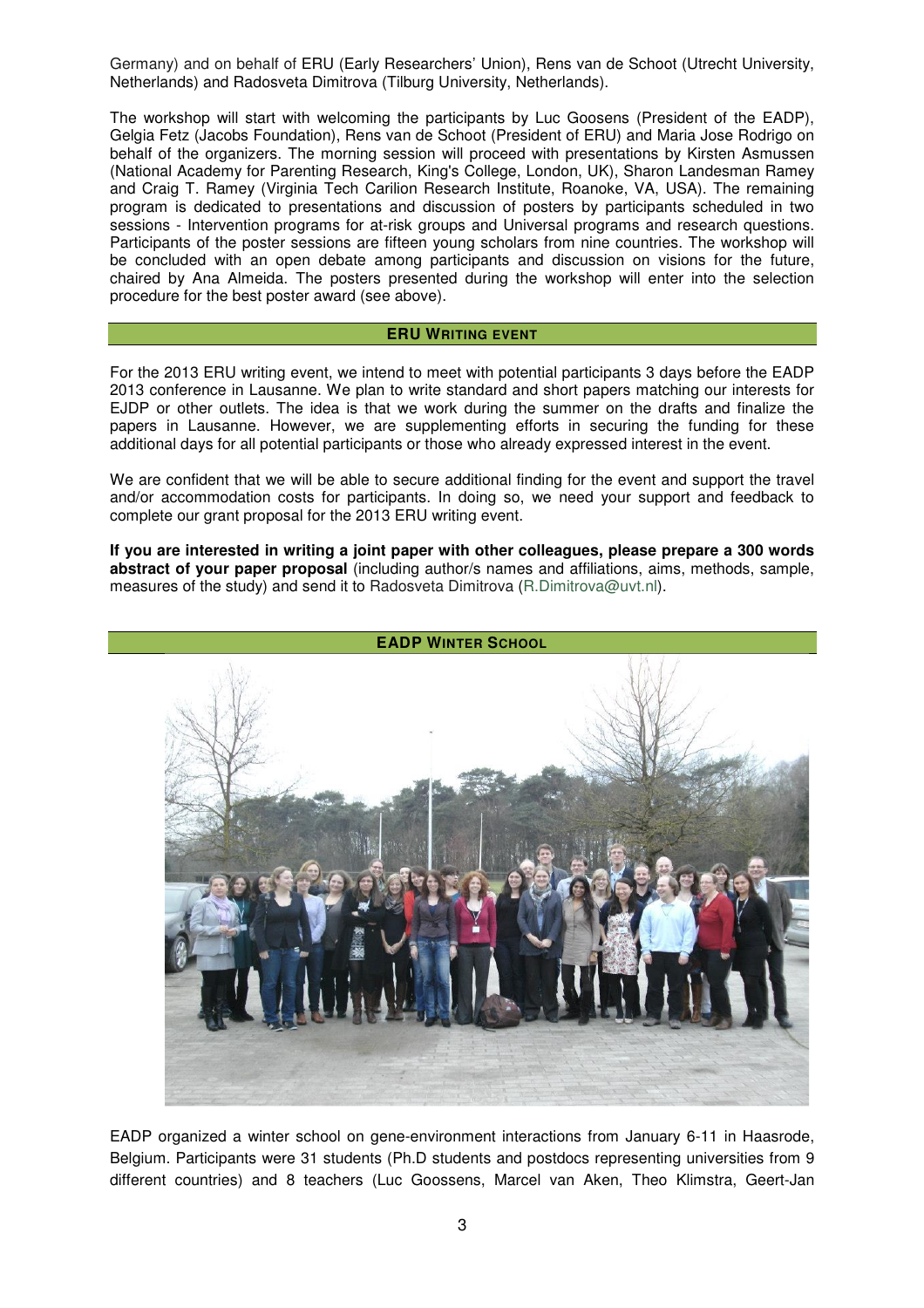Germany) and on behalf of ERU (Early Researchers' Union), Rens van de Schoot (Utrecht University, Netherlands) and Radosveta Dimitrova (Tilburg University, Netherlands).

The workshop will start with welcoming the participants by Luc Goosens (President of the EADP), Gelgia Fetz (Jacobs Foundation), Rens van de Schoot (President of ERU) and Maria Jose Rodrigo on behalf of the organizers. The morning session will proceed with presentations by Kirsten Asmussen (National Academy for Parenting Research, King's College, London, UK), Sharon Landesman Ramey and Craig T. Ramey (Virginia Tech Carilion Research Institute, Roanoke, VA, USA). The remaining program is dedicated to presentations and discussion of posters by participants scheduled in two sessions - Intervention programs for at-risk groups and Universal programs and research questions. Participants of the poster sessions are fifteen young scholars from nine countries. The workshop will be concluded with an open debate among participants and discussion on visions for the future, chaired by Ana Almeida. The posters presented during the workshop will enter into the selection procedure for the best poster award (see above).

#### **ERU WRITING EVENT**

For the 2013 ERU writing event, we intend to meet with potential participants 3 days before the EADP 2013 conference in Lausanne. We plan to write standard and short papers matching our interests for EJDP or other outlets. The idea is that we work during the summer on the drafts and finalize the papers in Lausanne. However, we are supplementing efforts in securing the funding for these additional days for all potential participants or those who already expressed interest in the event.

We are confident that we will be able to secure additional finding for the event and support the travel and/or accommodation costs for participants. In doing so, we need your support and feedback to complete our grant proposal for the 2013 ERU writing event.

**If you are interested in writing a joint paper with other colleagues, please prepare a 300 words abstract of your paper proposal** (including author/s names and affiliations, aims, methods, sample, measures of the study) and send it to Radosveta Dimitrova (R.Dimitrova@uvt.nl).



EADP organized a winter school on gene-environment interactions from January 6-11 in Haasrode, Belgium. Participants were 31 students (Ph.D students and postdocs representing universities from 9 different countries) and 8 teachers (Luc Goossens, Marcel van Aken, Theo Klimstra, Geert-Jan